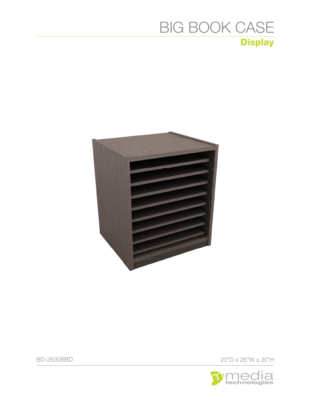

BD-2630BBD 20"D x 26"W x 30"H